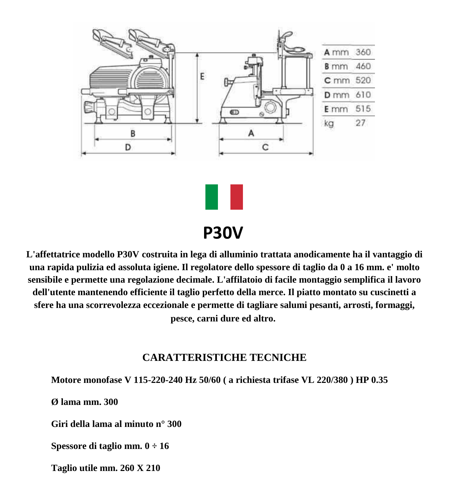



# **P30V**

**L'affettatrice modello P30V costruita in lega di alluminio trattata anodicamente ha il vantaggio di una rapida pulizia ed assoluta igiene. Il regolatore dello spessore di taglio da 0 a 16 mm. e' molto sensibile e permette una regolazione decimale. L'affilatoio di facile montaggio semplifica il lavoro dell'utente mantenendo efficiente il taglio perfetto della merce. Il piatto montato su cuscinetti a sfere ha una scorrevolezza eccezionale e permette di tagliare salumi pesanti, arrosti, formaggi, pesce, carni dure ed altro.**

### **CARATTERISTICHE TECNICHE**

**Motore monofase V 115-220-240 Hz 50/60 ( a richiesta trifase VL 220/380 ) HP 0.35**

**Ø lama mm. 300**

**Giri della lama al minuto n° 300**

**Spessore di taglio mm. 0 ÷ 16**

**Taglio utile mm. 260 X 210**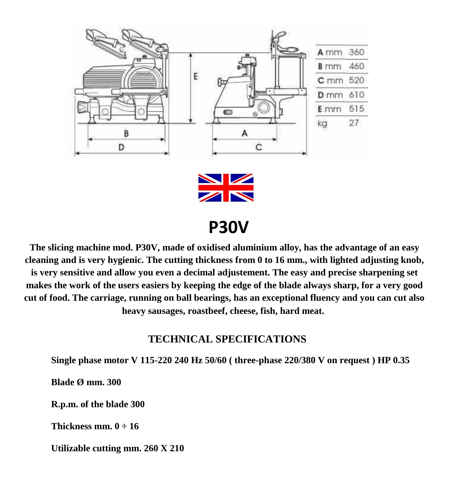

 **P30V**

**The slicing machine mod. P30V, made of oxidised aluminium alloy, has the advantage of an easy cleaning and is very hygienic. The cutting thickness from 0 to 16 mm., with lighted adjusting knob, is very sensitive and allow you even a decimal adjustement. The easy and precise sharpening set makes the work of the users easiers by keeping the edge of the blade always sharp, for a very good cut of food. The carriage, running on ball bearings, has an exceptional fluency and you can cut also heavy sausages, roastbeef, cheese, fish, hard meat.**

### **TECHNICAL SPECIFICATIONS**

**Single phase motor V 115-220 240 Hz 50/60 ( three-phase 220/380 V on request ) HP 0.35**

**Blade Ø mm. 300**

**R.p.m. of the blade 300**

**Thickness mm. 0 ÷ 16**

**Utilizable cutting mm. 260 X 210**